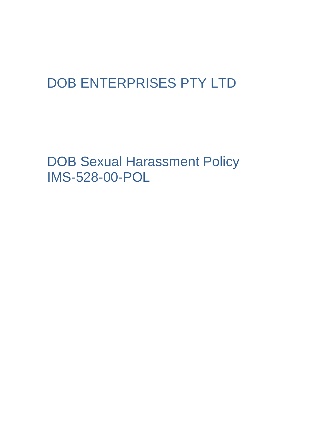## DOB ENTERPRISES PTY LTD

DOB Sexual Harassment Policy IMS-528-00-POL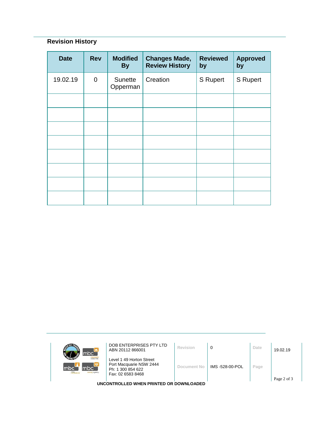## **Revision History**

| <b>Date</b> | <b>Rev</b>     | <b>Modified</b><br><b>By</b> | <b>Changes Made,</b><br><b>Review History</b> | <b>Reviewed</b><br>by | <b>Approved</b><br>by |
|-------------|----------------|------------------------------|-----------------------------------------------|-----------------------|-----------------------|
| 19.02.19    | $\overline{0}$ | Sunette<br>Opperman          | Creation                                      | S Rupert              | S Rupert              |
|             |                |                              |                                               |                       |                       |
|             |                |                              |                                               |                       |                       |
|             |                |                              |                                               |                       |                       |
|             |                |                              |                                               |                       |                       |
|             |                |                              |                                               |                       |                       |
|             |                |                              |                                               |                       |                       |
|             |                |                              |                                               |                       |                       |
|             |                |                              |                                               |                       |                       |

| mbc <sup>-</sup>                                            | DOB ENTERPRISES PTY LTD<br>ABN 20112 866001                                                   | Revision    | 0               | Date | 19.02.19 |  |  |
|-------------------------------------------------------------|-----------------------------------------------------------------------------------------------|-------------|-----------------|------|----------|--|--|
| <b>Informer Neg</b><br>mbc`<br>mbc<br>mle<br>sursing agency | Level 1 49 Horton Street<br>Port Macquarie NSW 2444<br>Ph: 1 300 854 622<br>Fax: 02 6583 8468 | Document No | IMS -528-00-POL | Page |          |  |  |
| Page 2 of 3<br>UNCONTROLLED WHEN PRINTED OR DOWNLOADED      |                                                                                               |             |                 |      |          |  |  |